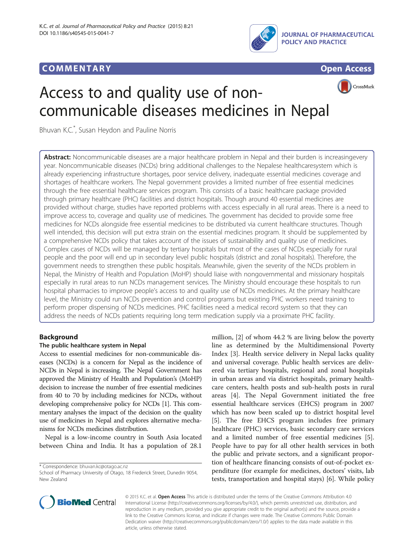# **COMMENTARY COMMENTARY Open Access**







# Access to and quality use of noncommunicable diseases medicines in Nepal

Bhuvan K.C.\* , Susan Heydon and Pauline Norris

Abstract: Noncommunicable diseases are a major healthcare problem in Nepal and their burden is increasingevery year. Noncommunicable diseases (NCDs) bring additional challenges to the Nepalese healthcaresystem which is already experiencing infrastructure shortages, poor service delivery, inadequate essential medicines coverage and shortages of healthcare workers. The Nepal government provides a limited number of free essential medicines through the free essential healthcare services program. This consists of a basic healthcare package provided through primary healthcare (PHC) facilities and district hospitals. Though around 40 essential medicines are provided without charge, studies have reported problems with access especially in all rural areas. There is a need to improve access to, coverage and quality use of medicines. The government has decided to provide some free medicines for NCDs alongside free essential medicines to be distributed via current healthcare structures. Though well intended, this decision will put extra strain on the essential medicines program. It should be supplemented by a comprehensive NCDs policy that takes account of the issues of sustainability and quality use of medicines. Complex cases of NCDs will be managed by tertiary hospitals but most of the cases of NCDs especially for rural people and the poor will end up in secondary level public hospitals (district and zonal hospitals). Therefore, the government needs to strengthen these public hospitals. Meanwhile, given the severity of the NCDs problem in Nepal, the Ministry of Health and Population (MoHP) should liaise with nongovernmental and missionary hospitals especially in rural areas to run NCDs management services. The Ministry should encourage these hospitals to run hospital pharmacies to improve people's access to and quality use of NCDs medicines. At the primary healthcare level, the Ministry could run NCDs prevention and control programs but existing PHC workers need training to perform proper dispensing of NCDs medicines. PHC facilities need a medical record system so that they can address the needs of NCDs patients requiring long term medication supply via a proximate PHC facility.

## Background

### The public healthcare system in Nepal

Access to essential medicines for non-communicable diseases (NCDs) is a concern for Nepal as the incidence of NCDs in Nepal is increasing. The Nepal Government has approved the Ministry of Health and Population's (MoHP) decision to increase the number of free essential medicines from 40 to 70 by including medicines for NCDs, without developing comprehensive policy for NCDs [\[1\]](#page-2-0). This commentary analyses the impact of the decision on the quality use of medicines in Nepal and explores alternative mechanisms for NCDs medicines distribution.

Nepal is a low-income country in South Asia located between China and India. It has a population of 28.1

\* Correspondence: [bhuvan.kc@otago.ac.nz](mailto:bhuvan.kc@otago.ac.nz)

million, [\[2](#page-2-0)] of whom 44.2 % are living below the poverty line as determined by the Multidimensional Poverty Index [[3\]](#page-2-0). Health service delivery in Nepal lacks quality and universal coverage. Public health services are delivered via tertiary hospitals, regional and zonal hospitals in urban areas and via district hospitals, primary healthcare centers, health posts and sub-health posts in rural areas [\[4](#page-2-0)]. The Nepal Government initiated the free essential healthcare services (EHCS) program in 2007 which has now been scaled up to district hospital level [[5\]](#page-2-0). The free EHCS program includes free primary healthcare (PHC) services, basic secondary care services and a limited number of free essential medicines [\[5](#page-2-0)]. People have to pay for all other health services in both the public and private sectors, and a significant proportion of healthcare financing consists of out-of-pocket expenditure (for example for medicines, doctors' visits, lab tests, transportation and hospital stays) [[6\]](#page-2-0). While policy



© 2015 K.C. et al. Open Access This article is distributed under the terms of the Creative Commons Attribution 4.0 International License [\(http://creativecommons.org/licenses/by/4.0/\)](http://creativecommons.org/licenses/by/4.0/), which permits unrestricted use, distribution, and reproduction in any medium, provided you give appropriate credit to the original author(s) and the source, provide a link to the Creative Commons license, and indicate if changes were made. The Creative Commons Public Domain Dedication waiver ([http://creativecommons.org/publicdomain/zero/1.0/\)](http://creativecommons.org/publicdomain/zero/1.0/) applies to the data made available in this article, unless otherwise stated.

School of Pharmacy University of Otago, 18 Frederick Street, Dunedin 9054, New Zealand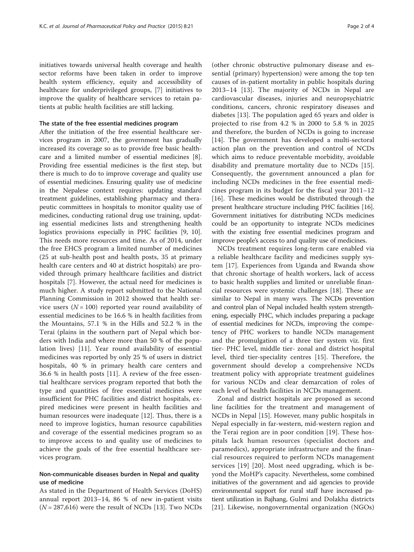initiatives towards universal health coverage and health sector reforms have been taken in order to improve health system efficiency, equity and accessibility of healthcare for underprivileged groups, [[7\]](#page-2-0) initiatives to improve the quality of healthcare services to retain patients at public health facilities are still lacking.

#### The state of the free essential medicines program

After the initiation of the free essential healthcare services program in 2007, the government has gradually increased its coverage so as to provide free basic healthcare and a limited number of essential medicines [\[8](#page-2-0)]. Providing free essential medicines is the first step, but there is much to do to improve coverage and quality use of essential medicines. Ensuring quality use of medicine in the Nepalese context requires: updating standard treatment guidelines, establishing pharmacy and therapeutic committees in hospitals to monitor quality use of medicines, conducting rational drug use training, updating essential medicines lists and strengthening health logistics provisions especially in PHC facilities [\[9](#page-2-0), [10](#page-2-0)]. This needs more resources and time. As of 2014, under the free EHCS program a limited number of medicines (25 at sub-health post and health posts, 35 at primary health care centers and 40 at district hospitals) are provided through primary healthcare facilities and district hospitals [[7](#page-2-0)]. However, the actual need for medicines is much higher. A study report submitted to the National Planning Commission in 2012 showed that health service users  $(N = 100)$  reported year round availability of essential medicines to be 16.6 % in health facilities from the Mountains, 57.1 % in the Hills and 52.2 % in the Terai (plains in the southern part of Nepal which borders with India and where more than 50 % of the population lives) [\[11](#page-2-0)]. Year round availability of essential medicines was reported by only 25 % of users in district hospitals, 40 % in primary health care centers and 36.6 % in health posts [[11](#page-2-0)]. A review of the free essential healthcare services program reported that both the type and quantities of free essential medicines were insufficient for PHC facilities and district hospitals, expired medicines were present in health facilities and human resources were inadequate [\[12](#page-2-0)]. Thus, there is a need to improve logistics, human resource capabilities and coverage of the essential medicines program so as to improve access to and quality use of medicines to achieve the goals of the free essential healthcare services program.

#### Non-communicable diseases burden in Nepal and quality use of medicine

As stated in the Department of Health Services (DoHS) annual report 2013–14, 86 % of new in-patient visits  $(N = 287,616)$  were the result of NCDs [[13\]](#page-2-0). Two NCDs

(other chronic obstructive pulmonary disease and essential (primary) hypertension) were among the top ten causes of in-patient mortality in public hospitals during 2013–14 [\[13](#page-2-0)]. The majority of NCDs in Nepal are cardiovascular diseases, injuries and neuropsychiatric conditions, cancers, chronic respiratory diseases and diabetes [[13\]](#page-2-0). The population aged 65 years and older is projected to rise from 4.2 % in 2000 to 5.8 % in 2025 and therefore, the burden of NCDs is going to increase [[14\]](#page-3-0). The government has developed a multi-sectoral action plan on the prevention and control of NCDs which aims to reduce preventable morbidity, avoidable disability and premature mortality due to NCDs [\[15](#page-3-0)]. Consequently, the government announced a plan for including NCDs medicines in the free essential medicines program in its budget for the fiscal year 2011–12 [[16\]](#page-3-0). These medicines would be distributed through the present healthcare structure including PHC facilities [[16](#page-3-0)]. Government initiatives for distributing NCDs medicines could be an opportunity to integrate NCDs medicines with the existing free essential medicines program and improve people's access to and quality use of medicines.

NCDs treatment requires long-term care enabled via a reliable healthcare facility and medicines supply system [[17](#page-3-0)]. Experiences from Uganda and Rwanda show that chronic shortage of health workers, lack of access to basic health supplies and limited or unreliable financial resources were systemic challenges [\[18](#page-3-0)]. These are similar to Nepal in many ways. The NCDs prevention and control plan of Nepal included health system strengthening, especially PHC, which includes preparing a package of essential medicines for NCDs, improving the competency of PHC workers to handle NCDs management and the promulgation of a three tier system viz. first tier- PHC level, middle tier- zonal and district hospital level, third tier-speciality centres [\[15](#page-3-0)]. Therefore, the government should develop a comprehensive NCDs treatment policy with appropriate treatment guidelines for various NCDs and clear demarcation of roles of each level of health facilities in NCDs management.

Zonal and district hospitals are proposed as second line facilities for the treatment and management of NCDs in Nepal [\[15\]](#page-3-0). However, many public hospitals in Nepal especially in far-western, mid-western region and the Terai region are in poor condition [[19\]](#page-3-0). These hospitals lack human resources (specialist doctors and paramedics), appropriate infrastructure and the financial resources required to perform NCDs management services [\[19\]](#page-3-0) [[20](#page-3-0)]. Most need upgrading, which is beyond the MoHP's capacity. Nevertheless, some combined initiatives of the government and aid agencies to provide environmental support for rural staff have increased patient utilization in Bajhang, Gulmi and Dolakha districts [[21](#page-3-0)]. Likewise, nongovernmental organization (NGOs)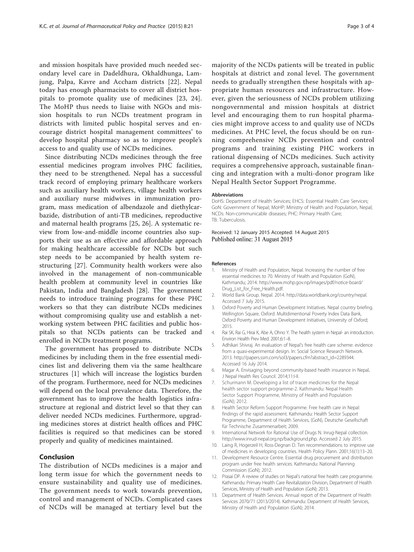<span id="page-2-0"></span>and mission hospitals have provided much needed secondary level care in Dadeldhura, Okhaldhunga, Lamjung, Palpa, Kavre and Accham districts [[22](#page-3-0)]. Nepal today has enough pharmacists to cover all district hospitals to promote quality use of medicines [\[23](#page-3-0), [24](#page-3-0)]. The MoHP thus needs to liaise with NGOs and mission hospitals to run NCDs treatment program in districts with limited public hospital serves and encourage district hospital management committees' to develop hospital pharmacy so as to improve people's access to and quality use of NCDs medicines.

Since distributing NCDs medicines through the free essential medicines program involves PHC facilities, they need to be strengthened. Nepal has a successful track record of employing primary healthcare workers such as auxiliary health workers, village health workers and auxiliary nurse midwives in immunization program, mass medication of albendazole and diethylcarbazide, distribution of anti-TB medicines, reproductive and maternal health programs [[25](#page-3-0), [26](#page-3-0)]. A systematic review from low-and-middle income countries also supports their use as an effective and affordable approach for making healthcare accessible for NCDs but such step needs to be accompanied by health system restructuring [\[27](#page-3-0)]. Community health workers were also involved in the management of non-communicable health problem at community level in countries like Pakistan, India and Bangladesh [\[28](#page-3-0)]. The government needs to introduce training programs for these PHC workers so that they can distribute NCDs medicines without compromising quality use and establish a networking system between PHC facilities and public hospitals so that NCDs patients can be tracked and enrolled in NCDs treatment programs.

The government has proposed to distribute NCDs medicines by including them in the free essential medicines list and delivering them via the same healthcare structures [1] which will increase the logistics burden of the program. Furthermore, need for NCDs medicines will depend on the local prevalence data. Therefore, the government has to improve the health logistics infrastructure at regional and district level so that they can deliver needed NCDs medicines. Furthermore, upgrading medicines stores at district health offices and PHC facilities is required so that medicines can be stored properly and quality of medicines maintained.

#### Conclusion

The distribution of NCDs medicines is a major and long term issue for which the government needs to ensure sustainability and quality use of medicines. The government needs to work towards prevention, control and management of NCDs. Complicated cases of NCDs will be managed at tertiary level but the majority of the NCDs patients will be treated in public hospitals at district and zonal level. The government needs to gradually strengthen these hospitals with appropriate human resources and infrastructure. However, given the seriousness of NCDs problem utilizing nongovernmental and mission hospitals at district level and encouraging them to run hospital pharmacies might improve access to and quality use of NCDs medicines. At PHC level, the focus should be on running comprehensive NCDs prevention and control programs and training existing PHC workers in rational dispensing of NCDs medicines. Such activity requires a comprehensive approach, sustainable financing and integration with a multi-donor program like

#### Abbreviations

DoHS: Department of Health Services; EHCS: Essential Health Care Services; GoN: Government of Nepal; MoHP: Ministry of Health and Population, Nepal; NCDs: Non-communicable diseases; PHC: Primary Health Care; TB: Tuberculosis.

#### Received: 12 January 2015 Accepted: 14 August 2015 Published online: 31 August 2015

Nepal Health Sector Support Programme.

#### References

- 1. Ministry of Health and Population, Nepal. Increasing the number of free essential medicines to 70. Ministry of Health and Population (GoN), Kathmandu; 2014. [http://www.mohp.gov.np/images/pdf/notice-board/](http://www.mohp.gov.np/images/pdf/notice-board/Drug_List_for_Free_Health.pdf) [Drug\\_List\\_for\\_Free\\_Health.pdf.](http://www.mohp.gov.np/images/pdf/notice-board/Drug_List_for_Free_Health.pdf)
- 2. World Bank Group. Nepal. 2014.<http://data.worldbank.org/country/nepal>. Accessed 7 July 2015.
- 3. Oxford Poverty and Human Development Initiatives. Nepal country briefing. Wellington Square, Oxford: Multidimentional Poverty Index Data Bank, Oxford Poverty and Human Development Initiatives, University of Oxford; 2015.
- 4. Rai SK, Rai G, Hirai K, Abe A, Ohno Y. The health system in Nepal- an introduction. Environ Health Prev Med. 2001;6:1–8.
- 5. Adhikari Shivraj. An evaluation of Nepal's free health care scheme: evidence from a quasi-experimental design. In: Social Science Research Network. 2013. [http://papers.ssrn.com/sol3/papers.cfm?abstract\\_id=2289344.](http://papers.ssrn.com/sol3/papers.cfm?abstract_id=2289344) Accessed 16 July 2014.
- 6. Magar A. Envisaging beyond community-based health insurance in Nepal. J Nepal Health Res Council. 2014;11:I-II.
- 7. Schurmann M. Developing a list of tracer medicines for the Nepal health sector support programme-2. Kathmandu: Nepal Health Sector Support Programme, Ministry of Health and Population (GoN); 2012.
- 8. Health Sector Reform Support Programme. Free health care in Nepal: findings of the rapid assessment. Kathmandu: Health Sector Support Programme, Department of Health Services, (GoN), Deutsche Gesellschaft für Technische Zusammenarbeit; 2009.
- 9. International Network for Rational Use of Drugs N. Inrug-Nepal collection. [http://www.inrud-nepal.org.np/background.php.](http://www.inrud-nepal.org.np/background.php) Accessed 2 July 2015.
- 10. Laing R, Hogerzeil H, Ross-Degnan D. Ten recommendations to improve use of medicines in developing countries. Health Policy Plann. 2001;16(1):13–20.
- 11. Development Resource Centre. Essential drug procurement and distribution program under free health services. Kathmandu: National Planning Commission (GoN); 2012.
- 12. Prasai DP. A review of studies on Nepal's national free health care programme. Kathmandu: Primary Health Care Revitalization Division, Department of Health Services, Ministry of Health and Population (GoN); 2013.
- 13. Department of Health Services. Annual report of the Department of Health Services 2070/71 (2013/2014). Kathmandu: Department of Health Services, Ministry of Health and Population (GoN); 2014.